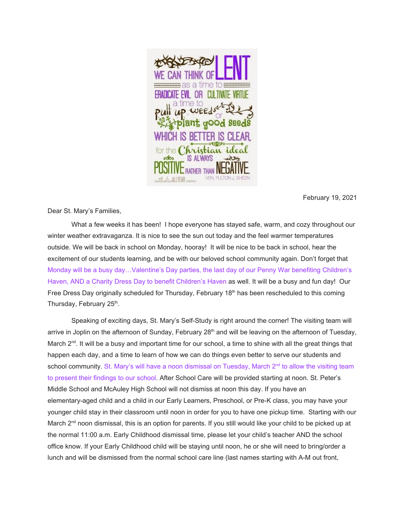

February 19, 2021

Dear St. Mary's Families,

What a few weeks it has been! I hope everyone has stayed safe, warm, and cozy throughout our winter weather extravaganza. It is nice to see the sun out today and the feel warmer temperatures outside. We will be back in school on Monday, hooray! It will be nice to be back in school, hear the excitement of our students learning, and be with our beloved school community again. Don't forget that Monday will be a busy day…Valentine's Day parties, the last day of our Penny War benefiting Children's Haven, AND a Charity Dress Day to benefit Children's Haven as well. It will be a busy and fun day! Our Free Dress Day originally scheduled for Thursday, February  $18<sup>th</sup>$  has been rescheduled to this coming Thursday, February 25<sup>th</sup>.

Speaking of exciting days, St. Mary's Self-Study is right around the corner! The visiting team will arrive in Joplin on the afternoon of Sunday, February 28<sup>th</sup> and will be leaving on the afternoon of Tuesday, March 2<sup>nd</sup>. It will be a busy and important time for our school, a time to shine with all the great things that happen each day, and a time to learn of how we can do things even better to serve our students and school community. St. Mary's will have a noon dismissal on Tuesday, March 2<sup>nd</sup> to allow the visiting team to present their findings to our school. After School Care will be provided starting at noon. St. Peter's Middle School and McAuley High School will not dismiss at noon this day. If you have an elementary-aged child and a child in our Early Learners, Preschool, or Pre-K class, you may have your younger child stay in their classroom until noon in order for you to have one pickup time. Starting with our March 2<sup>nd</sup> noon dismissal, this is an option for parents. If you still would like your child to be picked up at the normal 11:00 a.m. Early Childhood dismissal time, please let your child's teacher AND the school office know. If your Early Childhood child will be staying until noon, he or she will need to bring/order a lunch and will be dismissed from the normal school care line (last names starting with A-M out front,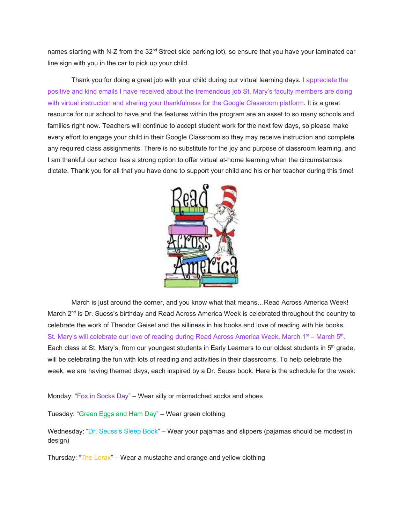names starting with N-Z from the 32<sup>nd</sup> Street side parking lot), so ensure that you have your laminated car line sign with you in the car to pick up your child.

Thank you for doing a great job with your child during our virtual learning days. I appreciate the positive and kind emails I have received about the tremendous job St. Mary's faculty members are doing with virtual instruction and sharing your thankfulness for the Google Classroom platform. It is a great resource for our school to have and the features within the program are an asset to so many schools and families right now. Teachers will continue to accept student work for the next few days, so please make every effort to engage your child in their Google Classroom so they may receive instruction and complete any required class assignments. There is no substitute for the joy and purpose of classroom learning, and I am thankful our school has a strong option to offer virtual at-home learning when the circumstances dictate. Thank you for all that you have done to support your child and his or her teacher during this time!



March is just around the corner, and you know what that means…Read Across America Week! March 2<sup>nd</sup> is Dr. Suess's birthday and Read Across America Week is celebrated throughout the country to celebrate the work of Theodor Geisel and the silliness in his books and love of reading with his books. St. Mary's will celebrate our love of reading during Read Across America Week, March 1<sup>st</sup> – March 5<sup>th</sup>. Each class at St. Mary's, from our youngest students in Early Learners to our oldest students in 5<sup>th</sup> grade, will be celebrating the fun with lots of reading and activities in their classrooms. To help celebrate the week, we are having themed days, each inspired by a Dr. Seuss book. Here is the schedule for the week:

Monday: "Fox in Socks Day" – Wear silly or mismatched socks and shoes

Tuesday: "Green Eggs and Ham Day" – Wear green clothing

Wednesday: "Dr. Seuss's Sleep Book" – Wear your pajamas and slippers (pajamas should be modest in design)

Thursday: "The Lorax" – Wear a mustache and orange and yellow clothing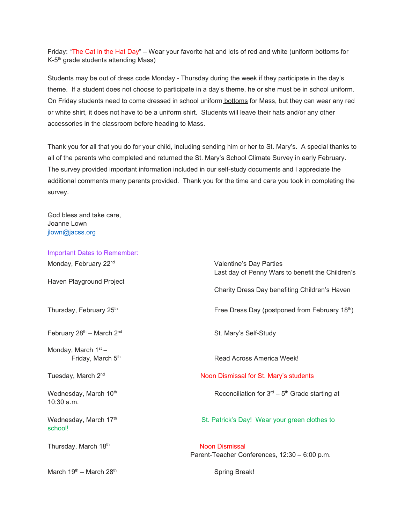Friday: "The Cat in the Hat Day" – Wear your favorite hat and lots of red and white (uniform bottoms for K-5<sup>th</sup> grade students attending Mass)

Students may be out of dress code Monday - Thursday during the week if they participate in the day's theme. If a student does not choose to participate in a day's theme, he or she must be in school uniform. On Friday students need to come dressed in school uniform bottoms for Mass, but they can wear any red or white shirt, it does not have to be a uniform shirt. Students will leave their hats and/or any other accessories in the classroom before heading to Mass.

Thank you for all that you do for your child, including sending him or her to St. Mary's. A special thanks to all of the parents who completed and returned the St. Mary's School Climate Survey in early February. The survey provided important information included in our self-study documents and I appreciate the additional comments many parents provided. Thank you for the time and care you took in completing the survey.

God bless and take care, Joanne Lown jlown@jacss.org

| <b>Important Dates to Remember:</b>        |                                                                             |
|--------------------------------------------|-----------------------------------------------------------------------------|
| Monday, February 22 <sup>nd</sup>          | Valentine's Day Parties<br>Last day of Penny Wars to benefit the Children's |
| Haven Playground Project                   | Charity Dress Day benefiting Children's Haven                               |
| Thursday, February 25th                    | Free Dress Day (postponed from February 18th)                               |
| February 28th - March 2nd                  | St. Mary's Self-Study                                                       |
| Monday, March $1st$ –<br>Friday, March 5th | Read Across America Week!                                                   |
| Tuesday, March 2 <sup>nd</sup>             | Noon Dismissal for St. Mary's students                                      |
| Wednesday, March 10th<br>$10:30$ a.m.      | Reconciliation for $3^{rd}$ – $5^{th}$ Grade starting at                    |
| Wednesday, March 17th<br>school!           | St. Patrick's Day! Wear your green clothes to                               |
| Thursday, March 18th                       | <b>Noon Dismissal</b><br>Parent-Teacher Conferences, 12:30 - 6:00 p.m.      |
| March $19th$ – March 28 <sup>th</sup>      | <b>Spring Break!</b>                                                        |